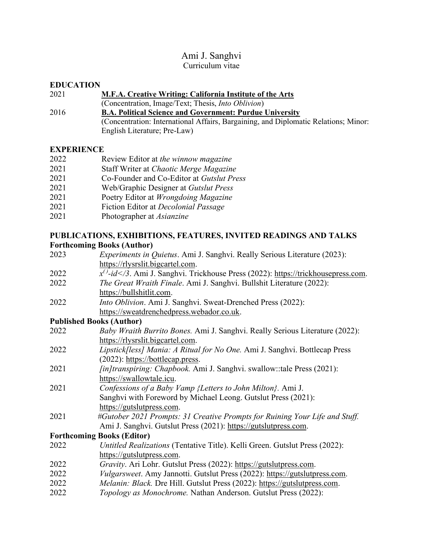# Ami J. Sanghvi Curriculum vitae

#### **EDUCATION**

#### 2021 **M.F.A. Creative Writing: California Institute of the Arts**

- (Concentration, Image/Text; Thesis, *Into Oblivion*)
- 2016 **B.A. Political Science and Government: Purdue University** (Concentration: International Affairs, Bargaining, and Diplomatic Relations; Minor: English Literature; Pre-Law)

# **EXPERIENCE**

| 2022<br>Review Editor at the winnow magazine |  |
|----------------------------------------------|--|
|----------------------------------------------|--|

- 2021 Staff Writer at *Chaotic Merge Magazine*
- 2021 Co-Founder and Co-Editor at *Gutslut Press*
- 2021 Web/Graphic Designer at *Gutslut Press*
- 2021 Poetry Editor at *Wrongdoing Magazine*
- 2021 Fiction Editor at *Decolonial Passage*
- 2021 Photographer at *Asianzine*

# **PUBLICATIONS, EXHIBITIONS, FEATURES, INVITED READINGS AND TALKS Forthcoming Books (Author)**

| 2023                            | <i>Experiments in Quietus. Ami J. Sanghvi. Really Serious Literature (2023):</i>            |
|---------------------------------|---------------------------------------------------------------------------------------------|
|                                 | https://rlysrslit.bigcartel.com.                                                            |
| 2022                            | $x^{(1)}-id \leq 3$ . Ami J. Sanghvi. Trickhouse Press (2022): https://trickhousepress.com. |
| 2022                            | The Great Wraith Finale. Ami J. Sanghvi. Bullshit Literature (2022):                        |
|                                 | https://bullshitlit.com.                                                                    |
| 2022                            | Into Oblivion. Ami J. Sanghvi. Sweat-Drenched Press (2022):                                 |
|                                 | https://sweatdrenchedpress.webador.co.uk.                                                   |
| <b>Published Books (Author)</b> |                                                                                             |
| 2022                            | Baby Wraith Burrito Bones. Ami J. Sanghvi. Really Serious Literature (2022):                |
|                                 | https://rlysrslit.bigcartel.com.                                                            |
| 2022                            | Lipstick[less] Mania: A Ritual for No One. Ami J. Sanghvi. Bottlecap Press                  |
|                                 | (2022): https://bottlecap.press.                                                            |
| 2021                            | <i>[in]transpiring: Chapbook. Ami J. Sanghvi. swallow::tale Press (2021):</i>               |
|                                 | https://swallowtale.icu.                                                                    |
| 2021                            | Confessions of a Baby Vamp {Letters to John Milton}. Ami J.                                 |
|                                 | Sanghvi with Foreword by Michael Leong. Gutslut Press (2021):                               |
|                                 | https://gutslutpress.com.                                                                   |
| 2021                            | #Gutober 2021 Prompts: 31 Creative Prompts for Ruining Your Life and Stuff.                 |
|                                 | Ami J. Sanghvi. Gutslut Press (2021): https://gutslutpress.com.                             |
|                                 | <b>Forthcoming Books (Editor)</b>                                                           |
| 2022                            | Untitled Realizations (Tentative Title). Kelli Green. Gutslut Press (2022):                 |
|                                 | https://gutslutpress.com.                                                                   |
| 2022                            | Gravity. Ari Lohr. Gutslut Press (2022): https://gutslutpress.com.                          |
| 2022                            | Vulgarsweet. Amy Jannotti. Gutslut Press (2022): https://gutslutpress.com.                  |
| 2022                            | Melanin: Black. Dre Hill. Gutslut Press (2022): https://gutslutpress.com.                   |
|                                 |                                                                                             |

2022 *Topology as Monochrome.* Nathan Anderson. Gutslut Press (2022):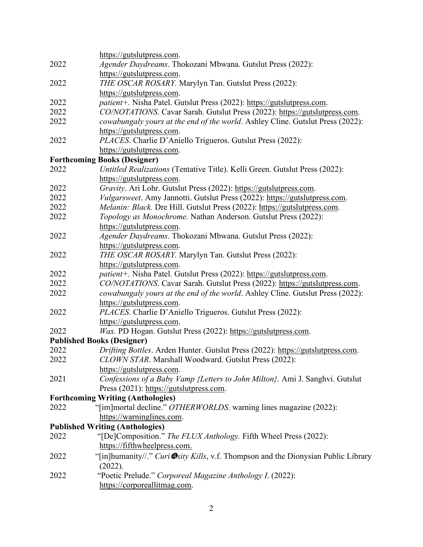|      | https://gutslutpress.com.                                                          |
|------|------------------------------------------------------------------------------------|
| 2022 | Agender Daydreams. Thokozani Mbwana. Gutslut Press (2022):                         |
|      | https://gutslutpress.com.                                                          |
| 2022 | THE OSCAR ROSARY. Marylyn Tan. Gutslut Press (2022):                               |
|      | https://gutslutpress.com.                                                          |
| 2022 | patient+. Nisha Patel. Gutslut Press (2022): https://gutslutpress.com.             |
| 2022 | CO/NOTATIONS. Cavar Sarah. Gutslut Press (2022): https://gutslutpress.com.         |
| 2022 | cowabungaly yours at the end of the world. Ashley Cline. Gutslut Press (2022):     |
|      | https://gutslutpress.com.                                                          |
| 2022 | PLACES. Charlie D'Aniello Trigueros. Gutslut Press (2022):                         |
|      | https://gutslutpress.com.                                                          |
|      | <b>Forthcoming Books (Designer)</b>                                                |
| 2022 | Untitled Realizations (Tentative Title). Kelli Green. Gutslut Press (2022):        |
|      | https://gutslutpress.com.                                                          |
| 2022 | Gravity. Ari Lohr. Gutslut Press (2022): https://gutslutpress.com.                 |
| 2022 | Vulgarsweet. Amy Jannotti. Gutslut Press (2022): https://gutslutpress.com.         |
| 2022 | Melanin: Black. Dre Hill. Gutslut Press (2022): https://gutslutpress.com.          |
| 2022 | Topology as Monochrome. Nathan Anderson. Gutslut Press (2022):                     |
|      | https://gutslutpress.com.                                                          |
| 2022 | Agender Daydreams. Thokozani Mbwana. Gutslut Press (2022):                         |
|      | https://gutslutpress.com.                                                          |
| 2022 | THE OSCAR ROSARY. Marylyn Tan. Gutslut Press (2022):                               |
|      | https://gutslutpress.com.                                                          |
| 2022 | patient+. Nisha Patel. Gutslut Press (2022): https://gutslutpress.com.             |
| 2022 | CO/NOTATIONS. Cavar Sarah. Gutslut Press (2022): https://gutslutpress.com.         |
| 2022 | cowabungaly yours at the end of the world. Ashley Cline. Gutslut Press (2022):     |
|      | https://gutslutpress.com.                                                          |
| 2022 | PLACES. Charlie D'Aniello Trigueros. Gutslut Press (2022):                         |
|      | https://gutslutpress.com.                                                          |
| 2022 | Wax. PD Hogan. Gutslut Press (2022): https://gutslutpress.com.                     |
|      | <b>Published Books (Designer)</b>                                                  |
| 2022 | Drifting Bottles. Arden Hunter. Gutslut Press (2022): https://gutslutpress.com.    |
| 2022 | CLOWN STAR. Marshall Woodward. Gutslut Press (2022):                               |
|      | https://gutslutpress.com.                                                          |
| 2021 | Confessions of a Baby Vamp {Letters to John Milton}. Ami J. Sanghvi. Gutslut       |
|      | Press (2021): https://gutslutpress.com.                                            |
|      | <b>Forthcoming Writing (Anthologies)</b>                                           |
| 2022 | "[im]mortal decline." OTHERWORLDS. warning lines magazine (2022):                  |
|      | https://warninglines.com.                                                          |
|      | <b>Published Writing (Anthologies)</b>                                             |
| 2022 | "[De]Composition." The FLUX Anthology. Fifth Wheel Press (2022):                   |
|      | https://fifthwheelpress.com.                                                       |
|      |                                                                                    |
| 2022 | "[in]humanity//." Curi Osity Kills, v.f. Thompson and the Dionysian Public Library |
|      | (2022).                                                                            |
| 2022 | "Poetic Prelude." Corporeal Magazine Anthology I. (2022):                          |
|      | https://corporeallitmag.com.                                                       |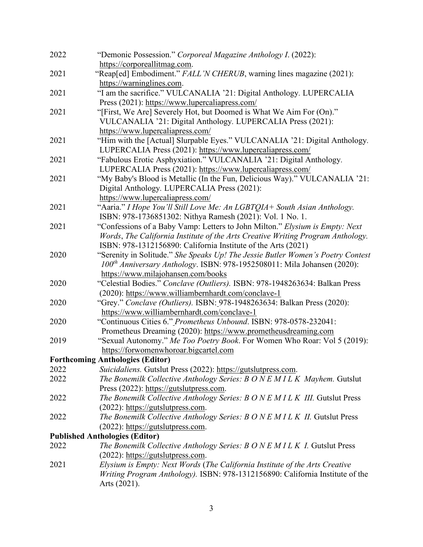| 2022 | "Demonic Possession." Corporeal Magazine Anthology I. (2022):                        |
|------|--------------------------------------------------------------------------------------|
|      | https://corporeallitmag.com.                                                         |
| 2021 | "Reap[ed] Embodiment." FALL'N CHERUB, warning lines magazine (2021):                 |
|      | https://warninglines.com.                                                            |
| 2021 | "I am the sacrifice." VULCANALIA '21: Digital Anthology. LUPERCALIA                  |
|      | Press (2021): https://www.lupercaliapress.com/                                       |
| 2021 | "[First, We Are] Severely Hot, but Doomed is What We Aim For (On)."                  |
|      | VULCANALIA '21: Digital Anthology. LUPERCALIA Press (2021):                          |
|      | https://www.lupercaliapress.com/                                                     |
| 2021 | "Him with the [Actual] Slurpable Eyes." VULCANALIA '21: Digital Anthology.           |
|      | LUPERCALIA Press (2021): https://www.lupercaliapress.com/                            |
| 2021 | "Fabulous Erotic Asphyxiation." VULCANALIA '21: Digital Anthology.                   |
|      | LUPERCALIA Press (2021): https://www.lupercaliapress.com/                            |
| 2021 | "My Baby's Blood is Metallic (In the Fun, Delicious Way)." VULCANALIA '21:           |
|      | Digital Anthology. LUPERCALIA Press (2021):                                          |
|      | https://www.lupercaliapress.com/                                                     |
| 2021 | "Aaria." I Hope You'll Still Love Me: An LGBTQIA+ South Asian Anthology.             |
|      | ISBN: 978-1736851302: Nithya Ramesh (2021): Vol. 1 No. 1.                            |
| 2021 | "Confessions of a Baby Vamp: Letters to John Milton." Elysium is Empty: Next         |
|      | Words, The California Institute of the Arts Creative Writing Program Anthology.      |
|      | ISBN: 978-1312156890: California Institute of the Arts (2021)                        |
| 2020 | "Serenity in Solitude." She Speaks Up! The Jessie Butler Women's Poetry Contest      |
|      | 100 <sup>th</sup> Anniversary Anthology. ISBN: 978-1952508011: Mila Johansen (2020): |
|      | https://www.milajohansen.com/books                                                   |
| 2020 | "Celestial Bodies." Conclave (Outliers). ISBN: 978-1948263634: Balkan Press          |
|      | (2020): https://www.williambernhardt.com/conclave-1                                  |
| 2020 | "Grey." Conclave (Outliers). ISBN: 978-1948263634: Balkan Press (2020):              |
|      | https://www.williambernhardt.com/conclave-1                                          |
| 2020 | "Continuous Cities 6." Prometheus Unbound. ISBN: 978-0578-232041:                    |
|      | Prometheus Dreaming (2020): https://www.prometheusdreaming.com                       |
| 2019 | "Sexual Autonomy." Me Too Poetry Book. For Women Who Roar: Vol 5 (2019):             |
|      | https://forwomenwhoroar.bigcartel.com                                                |
|      | <b>Forthcoming Anthologies (Editor)</b>                                              |
| 2022 | Suicidaliens. Gutslut Press (2022): https://gutslutpress.com.                        |
| 2022 | The Bonemilk Collective Anthology Series: B O N E M I L K Mayhem. Gutslut            |
|      | Press (2022): https://gutslutpress.com.                                              |
| 2022 | The Bonemilk Collective Anthology Series: B O N E M I L K III. Gutslut Press         |
|      | (2022): https://gutslutpress.com.                                                    |
| 2022 | The Bonemilk Collective Anthology Series: B O N E M I L K II. Gutslut Press          |
|      | $(2022)$ : https://gutslutpress.com.                                                 |
|      | <b>Published Anthologies (Editor)</b>                                                |
| 2022 | The Bonemilk Collective Anthology Series: B O N E M I L K I. Gutslut Press           |
|      | $(2022)$ : https://gutslutpress.com.                                                 |
| 2021 | Elysium is Empty: Next Words (The California Institute of the Arts Creative          |
|      | Writing Program Anthology). ISBN: 978-1312156890: California Institute of the        |
|      | Arts (2021).                                                                         |

3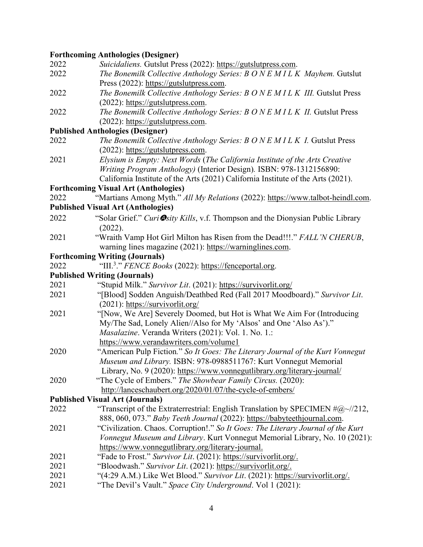# **Forthcoming Anthologies (Designer)**

| 2022 | Suicidaliens. Gutslut Press (2022): https://gutslutpress.com.                           |
|------|-----------------------------------------------------------------------------------------|
| 2022 | The Bonemilk Collective Anthology Series: B O N E M I L K Mayhem. Gutslut               |
|      | Press (2022): https://gutslutpress.com.                                                 |
| 2022 | The Bonemilk Collective Anthology Series: B O N E M I L K III. Gutslut Press            |
|      | (2022): https://gutslutpress.com.                                                       |
| 2022 | The Bonemilk Collective Anthology Series: B O N E M I L K II. Gutslut Press             |
|      | $(2022)$ : https://gutslutpress.com.                                                    |
|      | <b>Published Anthologies (Designer)</b>                                                 |
| 2022 | The Bonemilk Collective Anthology Series: B O N E M I L K I. Gutslut Press              |
|      | $(2022)$ : https://gutslutpress.com.                                                    |
| 2021 | Elysium is Empty: Next Words (The California Institute of the Arts Creative             |
|      | Writing Program Anthology) (Interior Design). ISBN: 978-1312156890:                     |
|      | California Institute of the Arts (2021) California Institute of the Arts (2021).        |
|      | <b>Forthcoming Visual Art (Anthologies)</b>                                             |
| 2022 | "Martians Among Myth." All My Relations (2022): https://www.talbot-heindl.com.          |
|      | <b>Published Visual Art (Anthologies)</b>                                               |
| 2022 | "Solar Grief." Curi Osity Kills, v.f. Thompson and the Dionysian Public Library         |
|      | (2022).                                                                                 |
| 2021 | "Wraith Vamp Hot Girl Milton has Risen from the Dead!!!." FALL'N CHERUB,                |
|      | warning lines magazine (2021): https://warninglines.com.                                |
|      | <b>Forthcoming Writing (Journals)</b>                                                   |
| 2022 | "III. <sup>3</sup> ." FENCE Books (2022): https://fenceportal.org.                      |
|      | <b>Published Writing (Journals)</b>                                                     |
| 2021 | "Stupid Milk." Survivor Lit. (2021): https://survivorlit.org/                           |
| 2021 | "[Blood] Sodden Anguish/Deathbed Red (Fall 2017 Moodboard)." Survivor Lit.              |
|      | $(2021)$ : https://survivorlit.org/                                                     |
| 2021 | "[Now, We Are] Severely Doomed, but Hot is What We Aim For (Introducing)                |
|      | My/The Sad, Lonely Alien//Also for My 'Alsos' and One 'Also As')."                      |
|      | Masalazine. Veranda Writers (2021): Vol. 1. No. 1.:                                     |
|      | https://www.verandawriters.com/volume1                                                  |
| 2020 | "American Pulp Fiction." So It Goes: The Literary Journal of the Kurt Vonnegut          |
|      | Museum and Library. ISBN: 978-0988511767: Kurt Vonnegut Memorial                        |
|      | Library, No. 9 (2020): https://www.vonnegutlibrary.org/literary-journal/                |
| 2020 | "The Cycle of Embers." The Showbear Family Circus. (2020):                              |
|      | http://lanceschaubert.org/2020/01/07/the-cycle-of-embers/                               |
|      | <b>Published Visual Art (Journals)</b>                                                  |
| 2022 | "Transcript of the Extraterrestrial: English Translation by SPECIMEN $\#@{\sim}//212$ , |
|      | 888, 060, 073." Baby Teeth Journal (2022): https://babyteethjournal.com.                |
| 2021 | "Civilization. Chaos. Corruption!." So It Goes: The Literary Journal of the Kurt        |
|      | Vonnegut Museum and Library. Kurt Vonnegut Memorial Library, No. 10 (2021):             |
|      | https://www.vonnegutlibrary.org/literary-journal.                                       |
| 2021 | "Fade to Frost." Survivor Lit. (2021): https://survivorlit.org/.                        |
| 2021 | "Bloodwash." Survivor Lit. (2021): https://survivorlit.org/.                            |
| 2021 | "(4:29 A.M.) Like Wet Blood." Survivor Lit. (2021): https://survivorlit.org/.           |
| 2021 | "The Devil's Vault." Space City Underground. Vol 1 (2021):                              |
|      |                                                                                         |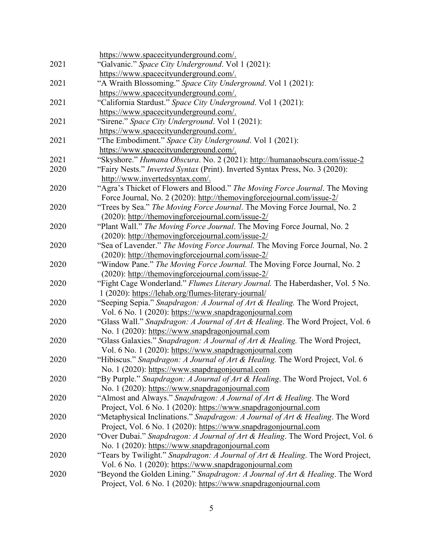| 2021 | https://www.spacecityunderground.com/.                                                                                                   |
|------|------------------------------------------------------------------------------------------------------------------------------------------|
|      | "Galvanic." Space City Underground. Vol 1 (2021):                                                                                        |
| 2021 | https://www.spacecityunderground.com/.                                                                                                   |
|      | "A Wraith Blossoming." Space City Underground. Vol 1 (2021):<br>https://www.spacecityunderground.com/.                                   |
| 2021 |                                                                                                                                          |
|      | "California Stardust." Space City Underground. Vol 1 (2021):<br>https://www.spacecityunderground.com/.                                   |
| 2021 | "Sirene." Space City Underground. Vol 1 (2021):                                                                                          |
|      |                                                                                                                                          |
| 2021 | https://www.spacecityunderground.com/.<br>"The Embodiment." Space City Underground. Vol 1 (2021):                                        |
|      | https://www.spacecityunderground.com/.                                                                                                   |
| 2021 | "Skyshore." Humana Obscura. No. 2 (2021): http://humanaobscura.com/issue-2                                                               |
| 2020 | "Fairy Nests." Inverted Syntax (Print). Inverted Syntax Press, No. 3 (2020):                                                             |
|      | http://www.invertedsyntax.com/.                                                                                                          |
| 2020 | "Agra's Thicket of Flowers and Blood." The Moving Force Journal. The Moving                                                              |
|      | Force Journal, No. 2 (2020): http://themovingforcejournal.com/issue-2/                                                                   |
| 2020 | "Trees by Sea." The Moving Force Journal. The Moving Force Journal, No. 2                                                                |
|      | (2020): http://themovingforcejournal.com/issue-2/                                                                                        |
| 2020 | "Plant Wall." The Moving Force Journal. The Moving Force Journal, No. 2                                                                  |
|      | (2020): http://themovingforcejournal.com/issue-2/                                                                                        |
| 2020 | "Sea of Lavender." The Moving Force Journal. The Moving Force Journal, No. 2                                                             |
|      | (2020): http://themovingforcejournal.com/issue-2/                                                                                        |
| 2020 | "Window Pane." The Moving Force Journal. The Moving Force Journal, No. 2                                                                 |
|      | (2020): http://themovingforcejournal.com/issue-2/                                                                                        |
| 2020 | "Fight Cage Wonderland." Flumes Literary Journal. The Haberdasher, Vol. 5 No.                                                            |
|      | 1 (2020): https://lehab.org/flumes-literary-journal/                                                                                     |
| 2020 | "Seeping Sepia." Snapdragon: A Journal of Art & Healing. The Word Project,                                                               |
|      | Vol. 6 No. 1 (2020): https://www.snapdragonjournal.com                                                                                   |
| 2020 | "Glass Wall." Snapdragon: A Journal of Art & Healing. The Word Project, Vol. 6                                                           |
|      | No. 1 (2020): https://www.snapdragonjournal.com                                                                                          |
| 2020 | "Glass Galaxies." Snapdragon: A Journal of Art & Healing. The Word Project,                                                              |
|      | Vol. 6 No. 1 (2020): https://www.snapdragonjournal.com                                                                                   |
| 2020 | "Hibiscus." Snapdragon: A Journal of Art & Healing. The Word Project, Vol. 6                                                             |
|      | No. 1 (2020): https://www.snapdragonjournal.com                                                                                          |
| 2020 | "By Purple." Snapdragon: A Journal of Art & Healing. The Word Project, Vol. 6                                                            |
|      | No. 1 (2020): https://www.snapdragonjournal.com                                                                                          |
| 2020 | "Almost and Always." Snapdragon: A Journal of Art & Healing. The Word                                                                    |
|      | Project, Vol. 6 No. 1 (2020): https://www.snapdragonjournal.com                                                                          |
| 2020 | "Metaphysical Inclinations." Snapdragon: A Journal of Art & Healing. The Word                                                            |
|      | Project, Vol. 6 No. 1 (2020): https://www.snapdragonjournal.com                                                                          |
| 2020 | "Over Dubai." Snapdragon: A Journal of Art & Healing. The Word Project, Vol. 6                                                           |
|      | No. 1 (2020): https://www.snapdragonjournal.com                                                                                          |
| 2020 | "Tears by Twilight." Snapdragon: A Journal of Art & Healing. The Word Project,<br>Vol. 6 No. 1 (2020): https://www.snapdragonjournal.com |
| 2020 | "Beyond the Golden Lining." Snapdragon: A Journal of Art & Healing. The Word                                                             |
|      | Project, Vol. 6 No. 1 (2020): https://www.snapdragonjournal.com                                                                          |
|      |                                                                                                                                          |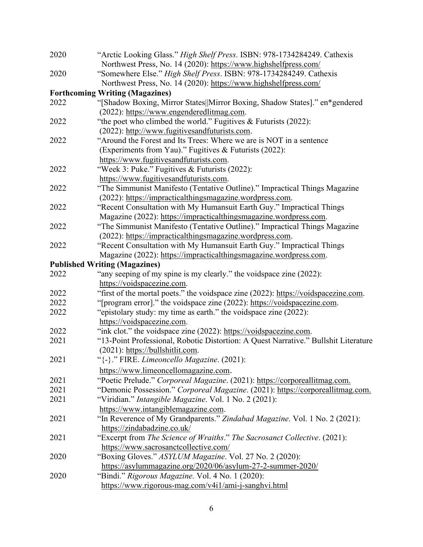| 2020 | "Arctic Looking Glass." High Shelf Press. ISBN: 978-1734284249. Cathexis            |
|------|-------------------------------------------------------------------------------------|
|      | Northwest Press, No. 14 (2020): https://www.highshelfpress.com/                     |
| 2020 | "Somewhere Else." High Shelf Press. ISBN: 978-1734284249. Cathexis                  |
|      | Northwest Press, No. 14 (2020): https://www.highshelfpress.com/                     |
|      | <b>Forthcoming Writing (Magazines)</b>                                              |
| 2022 | "[Shadow Boxing, Mirror States  Mirror Boxing, Shadow States]." en*gendered         |
|      | (2022): https://www.engenderedlitmag.com.                                           |
| 2022 | "the poet who climbed the world." Fugitives & Futurists (2022):                     |
|      | (2022): http://www.fugitivesandfuturists.com.                                       |
| 2022 | "Around the Forest and Its Trees: Where we are is NOT in a sentence                 |
|      | (Experiments from Yau)." Fugitives & Futurists (2022):                              |
|      | https://www.fugitivesandfuturists.com.                                              |
| 2022 | "Week 3: Puke." Fugitives & Futurists (2022):                                       |
|      | https://www.fugitivesandfuturists.com.                                              |
| 2022 | "The Simmunist Manifesto (Tentative Outline)." Impractical Things Magazine          |
|      | (2022): https://impracticalthingsmagazine.wordpress.com.                            |
| 2022 | "Recent Consultation with My Humansuit Earth Guy." Impractical Things               |
|      | Magazine (2022): https://impracticalthingsmagazine.wordpress.com.                   |
| 2022 | "The Simmunist Manifesto (Tentative Outline)." Impractical Things Magazine          |
|      | (2022): https://impracticalthingsmagazine.wordpress.com.                            |
| 2022 | "Recent Consultation with My Humansuit Earth Guy." Impractical Things               |
|      | Magazine (2022): https://impracticalthingsmagazine.wordpress.com.                   |
|      | <b>Published Writing (Magazines)</b>                                                |
| 2022 | "any seeping of my spine is my clearly." the voidspace zine (2022):                 |
|      | https://voidspacezine.com.                                                          |
| 2022 | "first of the mortal poets." the voidspace zine (2022): https://voidspacezine.com.  |
| 2022 | "[program error]." the voidspace zine (2022): https://voidspacezine.com.            |
| 2022 | "epistolary study: my time as earth." the voidspace zine (2022):                    |
|      | https://voidspacezine.com.                                                          |
| 2022 | "ink clot." the voidspace zine (2022): https://voidspacezine.com.                   |
| 2021 | "13-Point Professional, Robotic Distortion: A Quest Narrative." Bullshit Literature |
|      | (2021): https://bullshitlit.com.                                                    |
| 2021 | "{-}." FIRE. Limeoncello Magazine. (2021):                                          |
|      | https://www.limeoncellomagazine.com.                                                |
| 2021 | "Poetic Prelude." Corporeal Magazine. (2021): https://corporeallitmag.com.          |
| 2021 | "Demonic Possession." Corporeal Magazine. (2021): https://corporeallitmag.com.      |
| 2021 | "Viridian." <i>Intangible Magazine</i> . Vol. 1 No. 2 (2021):                       |
|      | https://www.intangiblemagazine.com.                                                 |
| 2021 | "In Reverence of My Grandparents." Zindabad Magazine. Vol. 1 No. 2 (2021):          |
|      | https://zindabadzine.co.uk/                                                         |
| 2021 | "Excerpt from The Science of Wraiths." The Sacrosanct Collective. (2021):           |
|      | https://www.sacrosanctcollective.com/                                               |
| 2020 | "Boxing Gloves." ASYLUM Magazine. Vol. 27 No. 2 (2020):                             |
|      | https://asylummagazine.org/2020/06/asylum-27-2-summer-2020/                         |
| 2020 | "Bindi." Rigorous Magazine. Vol. 4 No. 1 (2020):                                    |
|      | https://www.rigorous-mag.com/v4i1/ami-j-sanghvi.html                                |
|      |                                                                                     |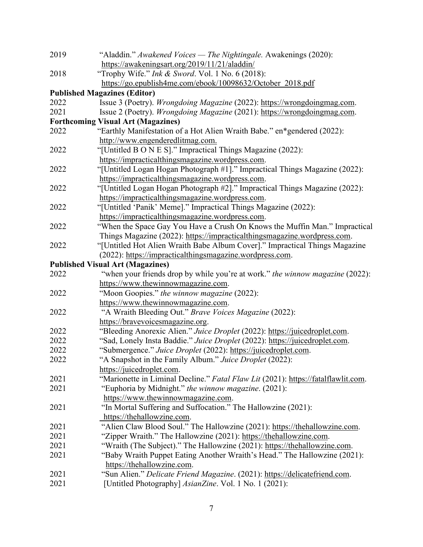| 2019 | "Aladdin." Awakened Voices — The Nightingale. Awakenings (2020):                                                                                       |
|------|--------------------------------------------------------------------------------------------------------------------------------------------------------|
|      | https://awakeningsart.org/2019/11/21/aladdin/                                                                                                          |
| 2018 | "Trophy Wife." Ink & Sword. Vol. 1 No. 6 (2018):                                                                                                       |
|      | https://go.epublish4me.com/ebook/10098632/October 2018.pdf                                                                                             |
|      | <b>Published Magazines (Editor)</b>                                                                                                                    |
| 2022 | Issue 3 (Poetry). Wrongdoing Magazine (2022): https://wrongdoingmag.com.                                                                               |
| 2021 | Issue 2 (Poetry). Wrongdoing Magazine (2021): https://wrongdoingmag.com.                                                                               |
|      | <b>Forthcoming Visual Art (Magazines)</b>                                                                                                              |
| 2022 | "Earthly Manifestation of a Hot Alien Wraith Babe." en*gendered (2022):                                                                                |
|      | http://www.engenderedlitmag.com.                                                                                                                       |
| 2022 | "[Untitled B O N E S]." Impractical Things Magazine (2022):                                                                                            |
|      | https://impracticalthingsmagazine.wordpress.com.                                                                                                       |
| 2022 | "[Untitled Logan Hogan Photograph #1]." Impractical Things Magazine (2022):                                                                            |
|      | https://impracticalthingsmagazine.wordpress.com.                                                                                                       |
| 2022 | "[Untitled Logan Hogan Photograph #2]." Impractical Things Magazine (2022):                                                                            |
|      | https://impracticalthingsmagazine.wordpress.com.                                                                                                       |
| 2022 | "[Untitled 'Panik' Meme]." Impractical Things Magazine (2022):                                                                                         |
|      | https://impracticalthingsmagazine.wordpress.com.                                                                                                       |
| 2022 | "When the Space Gay You Have a Crush On Knows the Muffin Man." Impractical                                                                             |
|      | Things Magazine (2022): https://impracticalthingsmagazine.wordpress.com.                                                                               |
| 2022 | "[Untitled Hot Alien Wraith Babe Album Cover]." Impractical Things Magazine                                                                            |
|      | (2022): https://impracticalthingsmagazine.wordpress.com.                                                                                               |
|      | <b>Published Visual Art (Magazines)</b>                                                                                                                |
| 2022 | "when your friends drop by while you're at work." the winnow magazine (2022):                                                                          |
|      | https://www.thewinnowmagazine.com.                                                                                                                     |
| 2022 | "Moon Goopies." the winnow magazine (2022):                                                                                                            |
|      | https://www.thewinnowmagazine.com.                                                                                                                     |
| 2022 | "A Wraith Bleeding Out." Brave Voices Magazine (2022):                                                                                                 |
|      | https://bravevoicesmagazine.org.                                                                                                                       |
| 2022 | "Bleeding Anorexic Alien." Juice Droplet (2022): https://juicedroplet.com.                                                                             |
| 2022 | "Sad, Lonely Insta Baddie." Juice Droplet (2022): https://juicedroplet.com.                                                                            |
| 2022 | "Submergence." Juice Droplet (2022): https://juicedroplet.com.                                                                                         |
| 2022 | "A Snapshot in the Family Album." Juice Droplet (2022):                                                                                                |
|      | https://juicedroplet.com.                                                                                                                              |
| 2021 | "Marionette in Liminal Decline." Fatal Flaw Lit (2021): https://fatalflawlit.com.                                                                      |
| 2021 | "Euphoria by Midnight." the winnow magazine. (2021):                                                                                                   |
|      | https://www.thewinnowmagazine.com.                                                                                                                     |
| 2021 | "In Mortal Suffering and Suffocation." The Hallowzine (2021):<br>https://thehallowzine.com.                                                            |
| 2021 | "Alien Claw Blood Soul." The Hallowzine (2021): https://thehallowzine.com.                                                                             |
| 2021 | "Zipper Wraith." The Hallowzine (2021): https://thehallowzine.com.                                                                                     |
| 2021 |                                                                                                                                                        |
| 2021 | "Wraith (The Subject)." The Hallowzine (2021): https://thehallowzine.com.<br>"Baby Wraith Puppet Eating Another Wraith's Head." The Hallowzine (2021): |
|      | https://thehallowzine.com.                                                                                                                             |
| 2021 | "Sun Alien." Delicate Friend Magazine. (2021): https://delicatefriend.com.                                                                             |
| 2021 | [Untitled Photography] AsianZine. Vol. 1 No. 1 (2021):                                                                                                 |
|      |                                                                                                                                                        |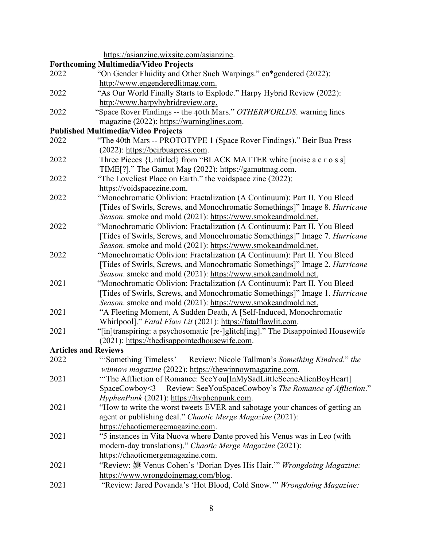|      | https://asianzine.wixsite.com/asianzine.                                        |
|------|---------------------------------------------------------------------------------|
|      | <b>Forthcoming Multimedia/Video Projects</b>                                    |
| 2022 | "On Gender Fluidity and Other Such Warpings." en*gendered (2022):               |
|      | http://www.engenderedlitmag.com.                                                |
| 2022 | "As Our World Finally Starts to Explode." Harpy Hybrid Review (2022):           |
|      | http://www.harpyhybridreview.org.                                               |
| 2022 | "Space Rover Findings -- the 40th Mars." OTHERWORLDS. warning lines             |
|      | magazine (2022): https://warninglines.com.                                      |
|      | <b>Published Multimedia/Video Projects</b>                                      |
| 2022 | "The 40th Mars -- PROTOTYPE 1 (Space Rover Findings)." Beir Bua Press           |
|      | (2022): https://beirbuapress.com.                                               |
| 2022 | Three Pieces {Untitled} from "BLACK MATTER white [noise a c r o s s]            |
|      | TIME[?]." The Gamut Mag (2022): https://gamutmag.com.                           |
| 2022 | "The Loveliest Place on Earth." the voidspace zine (2022):                      |
|      | https://voidspacezine.com.                                                      |
| 2022 | "Monochromatic Oblivion: Fractalization (A Continuum): Part II. You Bleed       |
|      | [Tides of Swirls, Screws, and Monochromatic Somethings]" Image 8. Hurricane     |
|      | Season. smoke and mold (2021): https://www.smokeandmold.net.                    |
| 2022 | "Monochromatic Oblivion: Fractalization (A Continuum): Part II. You Bleed       |
|      | [Tides of Swirls, Screws, and Monochromatic Somethings]" Image 7. Hurricane     |
|      | Season. smoke and mold (2021): https://www.smokeandmold.net.                    |
| 2022 | "Monochromatic Oblivion: Fractalization (A Continuum): Part II. You Bleed       |
|      | [Tides of Swirls, Screws, and Monochromatic Somethings]" Image 2. Hurricane     |
|      | Season. smoke and mold (2021): https://www.smokeandmold.net.                    |
| 2021 | "Monochromatic Oblivion: Fractalization (A Continuum): Part II. You Bleed       |
|      | [Tides of Swirls, Screws, and Monochromatic Somethings]" Image 1. Hurricane     |
|      | Season. smoke and mold (2021): https://www.smokeandmold.net.                    |
| 2021 | "A Fleeting Moment, A Sudden Death, A [Self-Induced, Monochromatic              |
|      | Whirlpool]." Fatal Flaw Lit (2021): https://fatalflawlit.com.                   |
| 2021 | "[in]transpiring: a psychosomatic [re-]glitch[ing]." The Disappointed Housewife |
|      | (2021): https://thedisappointedhousewife.com.                                   |
|      | <b>Articles and Reviews</b>                                                     |
| 2022 | "Something Timeless' — Review: Nicole Tallman's Something Kindred." the         |
|      | winnow magazine (2022): https://thewinnowmagazine.com.                          |
| 2021 | "The Affliction of Romance: SeeYou[InMySadLittleSceneAlienBoyHeart]             |
|      | SpaceCowboy<3—Review: SeeYouSpaceCowboy's The Romance of Affliction."           |
|      | HyphenPunk (2021): https://hyphenpunk.com.                                      |
| 2021 | "How to write the worst tweets EVER and sabotage your chances of getting an     |
|      | agent or publishing deal." Chaotic Merge Magazine (2021):                       |
|      | https://chaoticmergemagazine.com.                                               |
| 2021 | "5 instances in Vita Nuova where Dante proved his Venus was in Leo (with        |
|      | modern-day translations)." Chaotic Merge Magazine (2021):                       |
|      | https://chaoticmergemagazine.com.                                               |
| 2021 | "Review: 婕 Venus Cohen's 'Dorian Dyes His Hair."" Wrongdoing Magazine:          |
|      | https://www.wrongdoingmag.com/blog.                                             |
| 2021 | "Review: Jared Povanda's 'Hot Blood, Cold Snow."" Wrongdoing Magazine:          |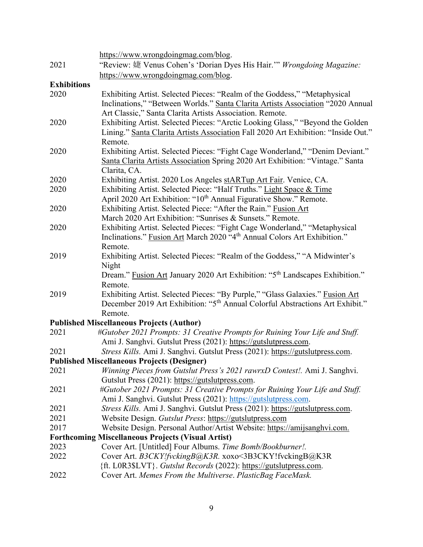|                    | https://www.wrongdoingmag.com/blog.                                                                                            |
|--------------------|--------------------------------------------------------------------------------------------------------------------------------|
| 2021               | "Review: 婕 Venus Cohen's 'Dorian Dyes His Hair."" Wrongdoing Magazine:                                                         |
|                    | https://www.wrongdoingmag.com/blog.                                                                                            |
| <b>Exhibitions</b> |                                                                                                                                |
| 2020               | Exhibiting Artist. Selected Pieces: "Realm of the Goddess," "Metaphysical                                                      |
|                    | Inclinations," "Between Worlds." Santa Clarita Artists Association "2020 Annual                                                |
|                    | Art Classic," Santa Clarita Artists Association. Remote.                                                                       |
| 2020               | Exhibiting Artist. Selected Pieces: "Arctic Looking Glass," "Beyond the Golden                                                 |
|                    | Lining." Santa Clarita Artists Association Fall 2020 Art Exhibition: "Inside Out."                                             |
|                    | Remote.                                                                                                                        |
| 2020               | Exhibiting Artist. Selected Pieces: "Fight Cage Wonderland," "Denim Deviant."                                                  |
|                    | Santa Clarita Artists Association Spring 2020 Art Exhibition: "Vintage." Santa                                                 |
|                    | Clarita, CA.                                                                                                                   |
| 2020               | Exhibiting Artist. 2020 Los Angeles stARTup Art Fair. Venice, CA.                                                              |
| 2020               | Exhibiting Artist. Selected Piece: "Half Truths." Light Space & Time                                                           |
|                    | April 2020 Art Exhibition: "10 <sup>th</sup> Annual Figurative Show." Remote.                                                  |
| 2020               | Exhibiting Artist. Selected Piece: "After the Rain." Fusion Art                                                                |
|                    | March 2020 Art Exhibition: "Sunrises & Sunsets." Remote.                                                                       |
| 2020               | Exhibiting Artist. Selected Pieces: "Fight Cage Wonderland," "Metaphysical                                                     |
|                    | Inclinations." Fusion Art March 2020 "4 <sup>th</sup> Annual Colors Art Exhibition."                                           |
|                    | Remote.                                                                                                                        |
| 2019               | Exhibiting Artist. Selected Pieces: "Realm of the Goddess," "A Midwinter's                                                     |
|                    | Night                                                                                                                          |
|                    | Dream." Fusion Art January 2020 Art Exhibition: "5 <sup>th</sup> Landscapes Exhibition."                                       |
|                    | Remote.                                                                                                                        |
| 2019               | Exhibiting Artist. Selected Pieces: "By Purple," "Glass Galaxies." Fusion Art                                                  |
|                    | December 2019 Art Exhibition: "5 <sup>th</sup> Annual Colorful Abstractions Art Exhibit."                                      |
|                    | Remote.                                                                                                                        |
|                    | <b>Published Miscellaneous Projects (Author)</b>                                                                               |
| 2021               | #Gutober 2021 Prompts: 31 Creative Prompts for Ruining Your Life and Stuff.                                                    |
| 2021               | Ami J. Sanghvi. Gutslut Press (2021): https://gutslutpress.com.                                                                |
|                    | Stress Kills. Ami J. Sanghvi. Gutslut Press (2021): https://gutslutpress.com.                                                  |
|                    | <b>Published Miscellaneous Projects (Designer)</b>                                                                             |
| 2021               | Winning Pieces from Gutslut Press's 2021 rawrxD Contest!. Ami J. Sanghvi.                                                      |
| 2021               | Gutslut Press (2021): https://gutslutpress.com.<br>#Gutober 2021 Prompts: 31 Creative Prompts for Ruining Your Life and Stuff. |
|                    | Ami J. Sanghvi. Gutslut Press (2021): https://gutslutpress.com.                                                                |
| 2021               | Stress Kills. Ami J. Sanghvi. Gutslut Press (2021): https://gutslutpress.com.                                                  |
| 2021               | Website Design. Gutslut Press: https://gutslutpress.com                                                                        |
| 2017               | Website Design. Personal Author/Artist Website: https://amijsanghvi.com.                                                       |
|                    | <b>Forthcoming Miscellaneous Projects (Visual Artist)</b>                                                                      |
| 2023               | Cover Art. [Untitled] Four Albums. Time Bomb/Bookburner!.                                                                      |
| 2022               | Cover Art. B3CKY!fvckingB@K3R. xoxo<3B3CKY!fvckingB@K3R                                                                        |
|                    | {ft. L0R3\$LVT}. Gutslut Records (2022): https://gutslutpress.com.                                                             |
| 2022               | Cover Art. Memes From the Multiverse. PlasticBag FaceMask.                                                                     |
|                    |                                                                                                                                |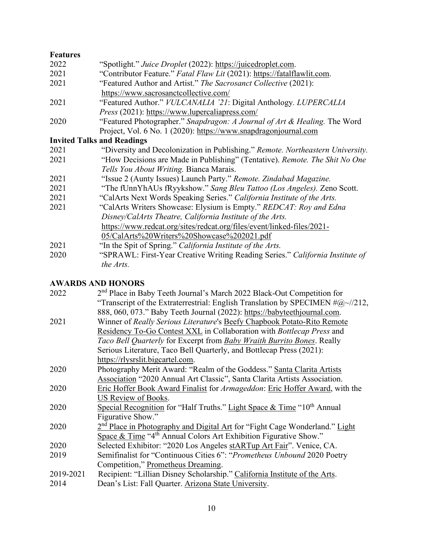| <b>Features</b> |                                                                                |
|-----------------|--------------------------------------------------------------------------------|
| 2022            | "Spotlight." Juice Droplet (2022): https://juicedroplet.com.                   |
| 2021            | "Contributor Feature." Fatal Flaw Lit (2021): https://fatalflawlit.com.        |
| 2021            | "Featured Author and Artist." The Sacrosanct Collective (2021):                |
|                 | https://www.sacrosanctcollective.com/                                          |
| 2021            | "Featured Author." VULCANALIA '21: Digital Anthology. LUPERCALIA               |
|                 | <i>Press</i> (2021): https://www.lupercaliapress.com/                          |
| 2020            | "Featured Photographer." Snapdragon: A Journal of Art & Healing. The Word      |
|                 | Project, Vol. 6 No. 1 (2020): https://www.snapdragonjournal.com                |
|                 | <b>Invited Talks and Readings</b>                                              |
| 2021            | "Diversity and Decolonization in Publishing." Remote. Northeastern University. |
| 2021            | "How Decisions are Made in Publishing" (Tentative). Remote. The Shit No One    |
|                 | Tells You About Writing. Bianca Marais.                                        |
| 2021            | "Issue 2 (Aunty Issues) Launch Party." Remote. Zindabad Magazine.              |
| 2021            | "The fUnnYhAUs fRyykshow." Sang Bleu Tattoo (Los Angeles). Zeno Scott.         |
| 2021            | "CalArts Next Words Speaking Series." California Institute of the Arts.        |
| 2021            | "CalArts Writers Showcase: Elysium is Empty." REDCAT: Roy and Edna             |
|                 | Disney/CalArts Theatre, California Institute of the Arts.                      |
|                 | https://www.redcat.org/sites/redcat.org/files/event/linked-files/2021-         |
|                 | 05/CalArts%20Writers%20Showcase%202021.pdf                                     |
| 2021            | "In the Spit of Spring." California Institute of the Arts.                     |
| 2020            | "SPRAWL: First-Year Creative Writing Reading Series." California Institute of  |
|                 | the Arts.                                                                      |

# **AWARDS AND HONORS**

| 2022      | 2 <sup>nd</sup> Place in Baby Teeth Journal's March 2022 Black-Out Competition for        |
|-----------|-------------------------------------------------------------------------------------------|
|           | "Transcript of the Extraterrestrial: English Translation by SPECIMEN $\#(\omega_0)/212$ , |
|           | 888, 060, 073." Baby Teeth Journal (2022): https://babyteethjournal.com.                  |
| 2021      | Winner of Really Serious Literature's Beefy Chapbook Potato-Rito Remote                   |
|           | Residency To-Go Contest XXL in Collaboration with Bottlecap Press and                     |
|           | Taco Bell Quarterly for Excerpt from Baby Wraith Burrito Bones. Really                    |
|           | Serious Literature, Taco Bell Quarterly, and Bottlecap Press (2021):                      |
|           | https://rlysrslit.bigcartel.com.                                                          |
| 2020      | Photography Merit Award: "Realm of the Goddess." Santa Clarita Artists                    |
|           | Association "2020 Annual Art Classic", Santa Clarita Artists Association.                 |
| 2020      | Eric Hoffer Book Award Finalist for Armageddon: Eric Hoffer Award, with the               |
|           | US Review of Books.                                                                       |
| 2020      | Special Recognition for "Half Truths." Light Space & Time " $10th$ Annual                 |
|           | Figurative Show."                                                                         |
| 2020      | 2 <sup>nd</sup> Place in Photography and Digital Art for "Fight Cage Wonderland." Light   |
|           | Space & Time "4 <sup>th</sup> Annual Colors Art Exhibition Figurative Show."              |
| 2020      | Selected Exhibitor: "2020 Los Angeles stARTup Art Fair". Venice, CA.                      |
| 2019      | Semifinalist for "Continuous Cities 6": "Prometheus Unbound 2020 Poetry                   |
|           | Competition," Prometheus Dreaming.                                                        |
| 2019-2021 | Recipient: "Lillian Disney Scholarship." California Institute of the Arts.                |
| 2014      | Dean's List: Fall Quarter. Arizona State University.                                      |
|           |                                                                                           |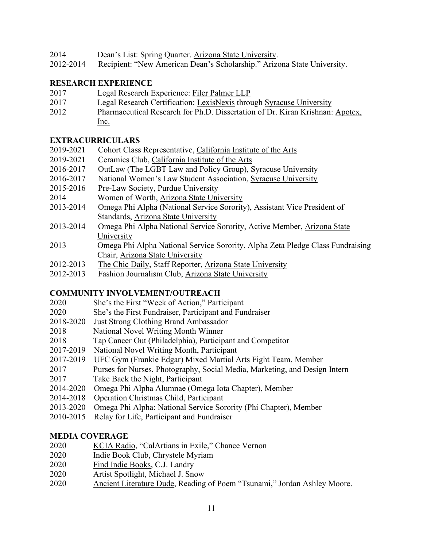- 2014 Dean's List: Spring Quarter. Arizona State University.
- 2012-2014 Recipient: "New American Dean's Scholarship." Arizona State University.

#### **RESEARCH EXPERIENCE**

- 2017 Legal Research Experience: Filer Palmer LLP
- 2017 Legal Research Certification: LexisNexis through Syracuse University
- 2012 Pharmaceutical Research for Ph.D. Dissertation of Dr. Kiran Krishnan: Apotex, Inc.

#### **EXTRACURRICULARS**

- 2019-2021 Cohort Class Representative, California Institute of the Arts
- 2019-2021Ceramics Club, California Institute of the Arts
- 2016-2017 OutLaw (The LGBT Law and Policy Group), Syracuse University
- 2016-2017 National Women's Law Student Association, Syracuse University
- 2015-2016 Pre-Law Society, Purdue University
- 2014 Women of Worth, Arizona State University
- 2013-2014 Omega Phi Alpha (National Service Sorority), Assistant Vice President of Standards, Arizona State University
- 2013-2014 Omega Phi Alpha National Service Sorority, Active Member, Arizona State University
- 2013 Omega Phi Alpha National Service Sorority, Alpha Zeta Pledge Class Fundraising Chair, Arizona State University
- 2012-2013 The Chic Daily, Staff Reporter, Arizona State University
- 2012-2013 Fashion Journalism Club, Arizona State University

# **COMMUNITY INVOLVEMENT/OUTREACH**

- 2020 She's the First "Week of Action," Participant
- 2020 She's the First Fundraiser, Participant and Fundraiser
- 2018-2020 Just Strong Clothing Brand Ambassador
- 2018 National Novel Writing Month Winner
- 2018 Tap Cancer Out (Philadelphia), Participant and Competitor
- 2017-2019 National Novel Writing Month, Participant
- 2017-2019 UFC Gym (Frankie Edgar) Mixed Martial Arts Fight Team, Member
- 2017 Purses for Nurses, Photography, Social Media, Marketing, and Design Intern
- 2017 Take Back the Night, Participant
- 2014-2020 Omega Phi Alpha Alumnae (Omega Iota Chapter), Member
- 2014-2018 Operation Christmas Child, Participant
- 2013-2020 Omega Phi Alpha: National Service Sorority (Phi Chapter), Member
- 2010-2015 Relay for Life, Participant and Fundraiser

#### **MEDIA COVERAGE**

- 2020 KCIA Radio, "CalArtians in Exile," Chance Vernon
- 2020 Indie Book Club, Chrystele Myriam
- 2020 Find Indie Books, C.J. Landry
- 2020 Artist Spotlight, Michael J. Snow
- 2020 Ancient Literature Dude, Reading of Poem "Tsunami," Jordan Ashley Moore.